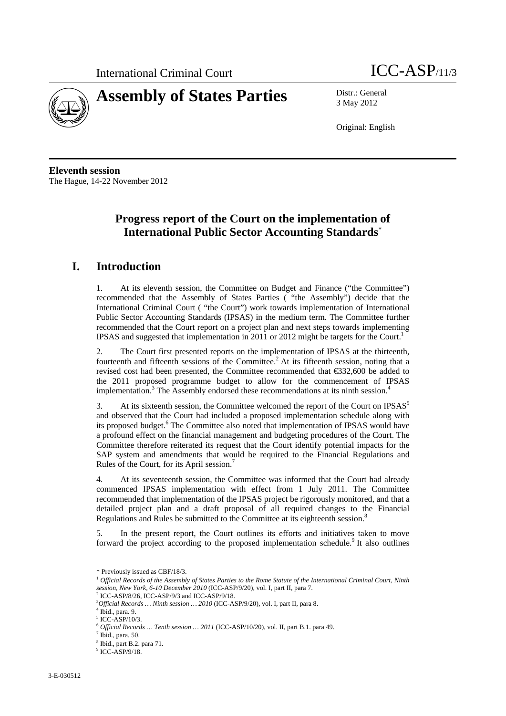

3 May 2012

Original: English

**Eleventh session**  The Hague, 14-22 November 2012

# **Progress report of the Court on the implementation of International Public Sector Accounting Standards**\*

# **I. Introduction**

1. At its eleventh session, the Committee on Budget and Finance ("the Committee") recommended that the Assembly of States Parties ( "the Assembly") decide that the International Criminal Court ( "the Court") work towards implementation of International Public Sector Accounting Standards (IPSAS) in the medium term. The Committee further recommended that the Court report on a project plan and next steps towards implementing IPSAS and suggested that implementation in 2011 or 2012 might be targets for the Court.<sup>1</sup>

2. The Court first presented reports on the implementation of IPSAS at the thirteenth, fourteenth and fifteenth sessions of the Committee.<sup>2</sup> At its fifteenth session, noting that a revised cost had been presented, the Committee recommended that €332,600 be added to the 2011 proposed programme budget to allow for the commencement of IPSAS implementation.<sup>3</sup> The Assembly endorsed these recommendations at its ninth session.<sup>4</sup>

3. At its sixteenth session, the Committee welcomed the report of the Court on IPSAS<sup>5</sup> and observed that the Court had included a proposed implementation schedule along with its proposed budget.<sup>6</sup> The Committee also noted that implementation of IPSAS would have a profound effect on the financial management and budgeting procedures of the Court. The Committee therefore reiterated its request that the Court identify potential impacts for the SAP system and amendments that would be required to the Financial Regulations and Rules of the Court, for its April session.7

4. At its seventeenth session, the Committee was informed that the Court had already commenced IPSAS implementation with effect from 1 July 2011. The Committee recommended that implementation of the IPSAS project be rigorously monitored, and that a detailed project plan and a draft proposal of all required changes to the Financial Regulations and Rules be submitted to the Committee at its eighteenth session.<sup>8</sup>

5. In the present report, the Court outlines its efforts and initiatives taken to move forward the project according to the proposed implementation schedule.<sup>9</sup> It also outlines

 $\overline{a}$ 

<sup>\*</sup> Previously issued as CBF/18/3.

<sup>&</sup>lt;sup>1</sup> Official Records of the Assembly of States Parties to the Rome Statute of the International Criminal Court, Ninth *session, New York, 6-10 December 2010* (ICC-ASP/9/20), vol. I, part II, para 7.<br><sup>2</sup> ICC-ASP/8/26, ICC-ASP/9/3 and ICC-ASP/9/18.

<sup>&</sup>lt;sup>3</sup>Official Records ... Ninth session ... 2010 (ICC-ASP/9/20), vol. I, part II, para 8.<br><sup>4</sup> Ibid ...para 0.

Ibid., para. 9.

<sup>5</sup> ICC-ASP/10/3.

<sup>6</sup> *Official Records … Tenth session … 2011* (ICC-ASP/10/20), vol. II, part B.1. para 49. 7

Ibid., para. 50.

<sup>8</sup> Ibid., part B.2. para 71.

<sup>9</sup> ICC-ASP/9/18.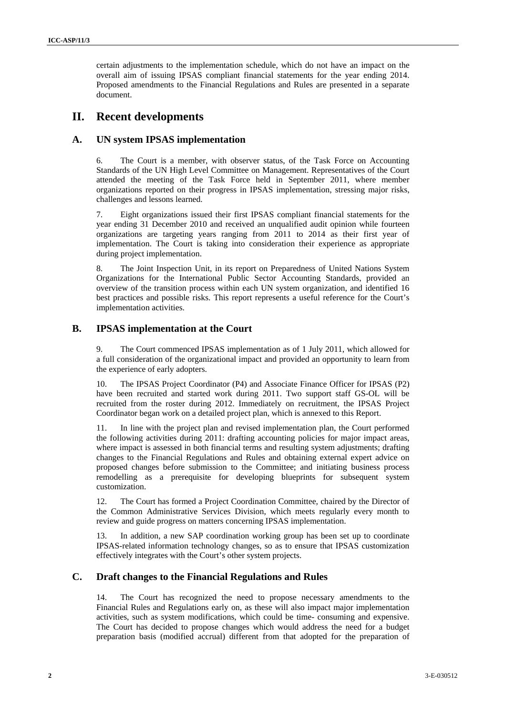certain adjustments to the implementation schedule, which do not have an impact on the overall aim of issuing IPSAS compliant financial statements for the year ending 2014. Proposed amendments to the Financial Regulations and Rules are presented in a separate document.

# **II. Recent developments**

## **A. UN system IPSAS implementation**

6. The Court is a member, with observer status, of the Task Force on Accounting Standards of the UN High Level Committee on Management. Representatives of the Court attended the meeting of the Task Force held in September 2011, where member organizations reported on their progress in IPSAS implementation, stressing major risks, challenges and lessons learned.

7. Eight organizations issued their first IPSAS compliant financial statements for the year ending 31 December 2010 and received an unqualified audit opinion while fourteen organizations are targeting years ranging from 2011 to 2014 as their first year of implementation. The Court is taking into consideration their experience as appropriate during project implementation.

8. The Joint Inspection Unit, in its report on Preparedness of United Nations System Organizations for the International Public Sector Accounting Standards, provided an overview of the transition process within each UN system organization, and identified 16 best practices and possible risks. This report represents a useful reference for the Court's implementation activities.

## **B. IPSAS implementation at the Court**

9. The Court commenced IPSAS implementation as of 1 July 2011, which allowed for a full consideration of the organizational impact and provided an opportunity to learn from the experience of early adopters.

10. The IPSAS Project Coordinator (P4) and Associate Finance Officer for IPSAS (P2) have been recruited and started work during 2011. Two support staff GS-OL will be recruited from the roster during 2012. Immediately on recruitment, the IPSAS Project Coordinator began work on a detailed project plan, which is annexed to this Report.

11. In line with the project plan and revised implementation plan, the Court performed the following activities during 2011: drafting accounting policies for major impact areas, where impact is assessed in both financial terms and resulting system adjustments; drafting changes to the Financial Regulations and Rules and obtaining external expert advice on proposed changes before submission to the Committee; and initiating business process remodelling as a prerequisite for developing blueprints for subsequent system customization.

12. The Court has formed a Project Coordination Committee, chaired by the Director of the Common Administrative Services Division, which meets regularly every month to review and guide progress on matters concerning IPSAS implementation.

13. In addition, a new SAP coordination working group has been set up to coordinate IPSAS-related information technology changes, so as to ensure that IPSAS customization effectively integrates with the Court's other system projects.

## **C. Draft changes to the Financial Regulations and Rules**

14. The Court has recognized the need to propose necessary amendments to the Financial Rules and Regulations early on, as these will also impact major implementation activities, such as system modifications, which could be time- consuming and expensive. The Court has decided to propose changes which would address the need for a budget preparation basis (modified accrual) different from that adopted for the preparation of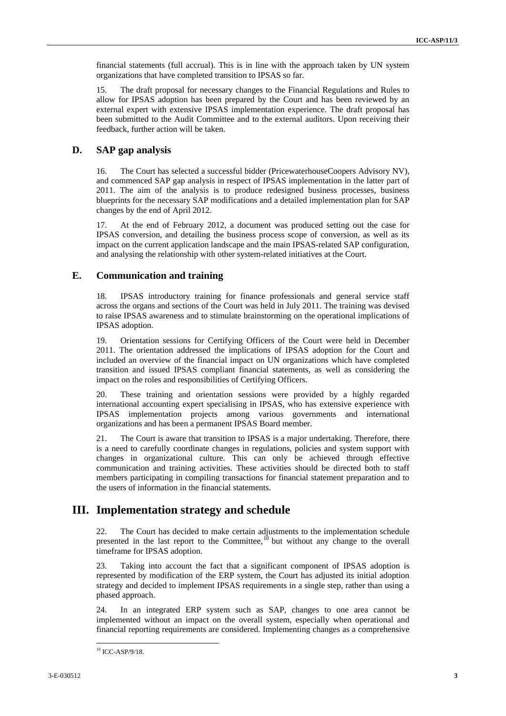financial statements (full accrual). This is in line with the approach taken by UN system organizations that have completed transition to IPSAS so far.

15. The draft proposal for necessary changes to the Financial Regulations and Rules to allow for IPSAS adoption has been prepared by the Court and has been reviewed by an external expert with extensive IPSAS implementation experience. The draft proposal has been submitted to the Audit Committee and to the external auditors. Upon receiving their feedback, further action will be taken.

## **D. SAP gap analysis**

16. The Court has selected a successful bidder (PricewaterhouseCoopers Advisory NV), and commenced SAP gap analysis in respect of IPSAS implementation in the latter part of 2011. The aim of the analysis is to produce redesigned business processes, business blueprints for the necessary SAP modifications and a detailed implementation plan for SAP changes by the end of April 2012.

17. At the end of February 2012, a document was produced setting out the case for IPSAS conversion, and detailing the business process scope of conversion, as well as its impact on the current application landscape and the main IPSAS-related SAP configuration, and analysing the relationship with other system-related initiatives at the Court.

## **E. Communication and training**

18. IPSAS introductory training for finance professionals and general service staff across the organs and sections of the Court was held in July 2011. The training was devised to raise IPSAS awareness and to stimulate brainstorming on the operational implications of IPSAS adoption.

19. Orientation sessions for Certifying Officers of the Court were held in December 2011. The orientation addressed the implications of IPSAS adoption for the Court and included an overview of the financial impact on UN organizations which have completed transition and issued IPSAS compliant financial statements, as well as considering the impact on the roles and responsibilities of Certifying Officers.

20. These training and orientation sessions were provided by a highly regarded international accounting expert specialising in IPSAS, who has extensive experience with IPSAS implementation projects among various governments and international organizations and has been a permanent IPSAS Board member.

21. The Court is aware that transition to IPSAS is a major undertaking. Therefore, there is a need to carefully coordinate changes in regulations, policies and system support with changes in organizational culture. This can only be achieved through effective communication and training activities. These activities should be directed both to staff members participating in compiling transactions for financial statement preparation and to the users of information in the financial statements.

# **III. Implementation strategy and schedule**

22. The Court has decided to make certain adjustments to the implementation schedule presented in the last report to the Committee, $10$  but without any change to the overall timeframe for IPSAS adoption.

23. Taking into account the fact that a significant component of IPSAS adoption is represented by modification of the ERP system, the Court has adjusted its initial adoption strategy and decided to implement IPSAS requirements in a single step, rather than using a phased approach.

24. In an integrated ERP system such as SAP, changes to one area cannot be implemented without an impact on the overall system, especially when operational and financial reporting requirements are considered. Implementing changes as a comprehensive

 10 ICC-ASP/9/18.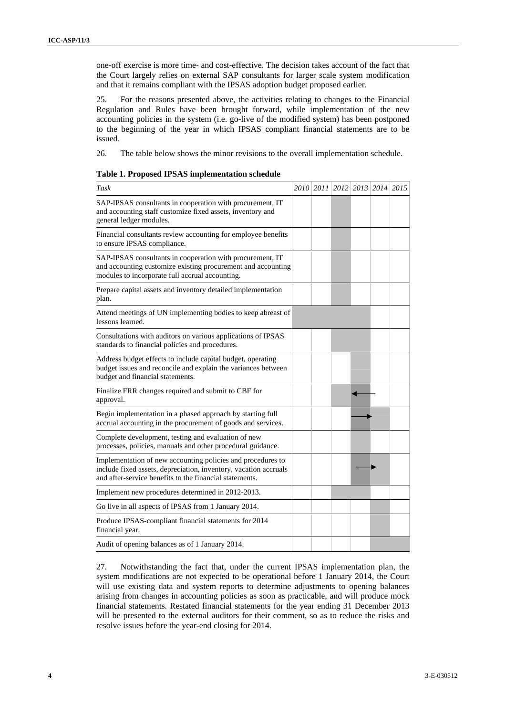one-off exercise is more time- and cost-effective. The decision takes account of the fact that the Court largely relies on external SAP consultants for larger scale system modification and that it remains compliant with the IPSAS adoption budget proposed earlier.

25. For the reasons presented above, the activities relating to changes to the Financial Regulation and Rules have been brought forward, while implementation of the new accounting policies in the system (i.e. go-live of the modified system) has been postponed to the beginning of the year in which IPSAS compliant financial statements are to be issued.

26. The table below shows the minor revisions to the overall implementation schedule.

| Table 1. Proposed IPSAS implementation schedule |  |
|-------------------------------------------------|--|
|-------------------------------------------------|--|

| Task                                                                                                                                                                                       | 2010 2011 2012 2013 2014 2015 |  |  |
|--------------------------------------------------------------------------------------------------------------------------------------------------------------------------------------------|-------------------------------|--|--|
| SAP-IPSAS consultants in cooperation with procurement, IT<br>and accounting staff customize fixed assets, inventory and<br>general ledger modules.                                         |                               |  |  |
| Financial consultants review accounting for employee benefits<br>to ensure IPSAS compliance.                                                                                               |                               |  |  |
| SAP-IPSAS consultants in cooperation with procurement, IT<br>and accounting customize existing procurement and accounting<br>modules to incorporate full accrual accounting.               |                               |  |  |
| Prepare capital assets and inventory detailed implementation<br>plan.                                                                                                                      |                               |  |  |
| Attend meetings of UN implementing bodies to keep abreast of<br>lessons learned.                                                                                                           |                               |  |  |
| Consultations with auditors on various applications of IPSAS<br>standards to financial policies and procedures.                                                                            |                               |  |  |
| Address budget effects to include capital budget, operating<br>budget issues and reconcile and explain the variances between<br>budget and financial statements.                           |                               |  |  |
| Finalize FRR changes required and submit to CBF for<br>approval.                                                                                                                           |                               |  |  |
| Begin implementation in a phased approach by starting full<br>accrual accounting in the procurement of goods and services.                                                                 |                               |  |  |
| Complete development, testing and evaluation of new<br>processes, policies, manuals and other procedural guidance.                                                                         |                               |  |  |
| Implementation of new accounting policies and procedures to<br>include fixed assets, depreciation, inventory, vacation accruals<br>and after-service benefits to the financial statements. |                               |  |  |
| Implement new procedures determined in 2012-2013.                                                                                                                                          |                               |  |  |
| Go live in all aspects of IPSAS from 1 January 2014.                                                                                                                                       |                               |  |  |
| Produce IPSAS-compliant financial statements for 2014<br>financial year.                                                                                                                   |                               |  |  |
| Audit of opening balances as of 1 January 2014.                                                                                                                                            |                               |  |  |

27. Notwithstanding the fact that, under the current IPSAS implementation plan, the system modifications are not expected to be operational before 1 January 2014, the Court will use existing data and system reports to determine adjustments to opening balances arising from changes in accounting policies as soon as practicable, and will produce mock financial statements. Restated financial statements for the year ending 31 December 2013 will be presented to the external auditors for their comment, so as to reduce the risks and resolve issues before the year-end closing for 2014.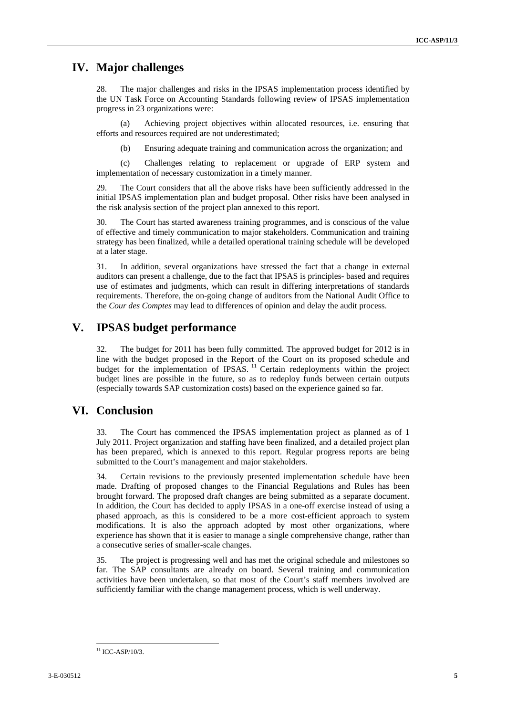# **IV. Major challenges**

28. The major challenges and risks in the IPSAS implementation process identified by the UN Task Force on Accounting Standards following review of IPSAS implementation progress in 23 organizations were:

(a) Achieving project objectives within allocated resources, i.e. ensuring that efforts and resources required are not underestimated;

(b) Ensuring adequate training and communication across the organization; and

(c) Challenges relating to replacement or upgrade of ERP system and implementation of necessary customization in a timely manner.

29. The Court considers that all the above risks have been sufficiently addressed in the initial IPSAS implementation plan and budget proposal. Other risks have been analysed in the risk analysis section of the project plan annexed to this report.

30. The Court has started awareness training programmes, and is conscious of the value of effective and timely communication to major stakeholders. Communication and training strategy has been finalized, while a detailed operational training schedule will be developed at a later stage.

31. In addition, several organizations have stressed the fact that a change in external auditors can present a challenge, due to the fact that IPSAS is principles- based and requires use of estimates and judgments, which can result in differing interpretations of standards requirements. Therefore, the on-going change of auditors from the National Audit Office to the *Cour des Comptes* may lead to differences of opinion and delay the audit process.

# **V. IPSAS budget performance**

32. The budget for 2011 has been fully committed. The approved budget for 2012 is in line with the budget proposed in the Report of the Court on its proposed schedule and budget for the implementation of IPSAS.<sup>11</sup> Certain redeployments within the project budget lines are possible in the future, so as to redeploy funds between certain outputs (especially towards SAP customization costs) based on the experience gained so far.

# **VI. Conclusion**

33. The Court has commenced the IPSAS implementation project as planned as of 1 July 2011. Project organization and staffing have been finalized, and a detailed project plan has been prepared, which is annexed to this report. Regular progress reports are being submitted to the Court's management and major stakeholders.

34. Certain revisions to the previously presented implementation schedule have been made. Drafting of proposed changes to the Financial Regulations and Rules has been brought forward. The proposed draft changes are being submitted as a separate document. In addition, the Court has decided to apply IPSAS in a one-off exercise instead of using a phased approach, as this is considered to be a more cost-efficient approach to system modifications. It is also the approach adopted by most other organizations, where experience has shown that it is easier to manage a single comprehensive change, rather than a consecutive series of smaller-scale changes.

35. The project is progressing well and has met the original schedule and milestones so far. The SAP consultants are already on board. Several training and communication activities have been undertaken, so that most of the Court's staff members involved are sufficiently familiar with the change management process, which is well underway.

 $11$  ICC-ASP/10/3.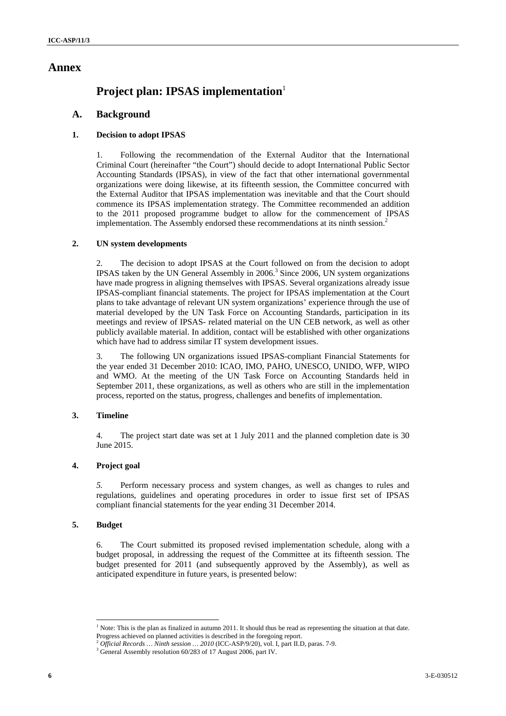## **Annex**

# **Project plan: IPSAS implementation**<sup>1</sup>

## **A. Background**

### **1. Decision to adopt IPSAS**

1. Following the recommendation of the External Auditor that the International Criminal Court (hereinafter "the Court") should decide to adopt International Public Sector Accounting Standards (IPSAS), in view of the fact that other international governmental organizations were doing likewise, at its fifteenth session, the Committee concurred with the External Auditor that IPSAS implementation was inevitable and that the Court should commence its IPSAS implementation strategy. The Committee recommended an addition to the 2011 proposed programme budget to allow for the commencement of IPSAS implementation. The Assembly endorsed these recommendations at its ninth session.<sup>2</sup>

### **2. UN system developments**

2. The decision to adopt IPSAS at the Court followed on from the decision to adopt IPSAS taken by the UN General Assembly in 2006.<sup>3</sup> Since 2006, UN system organizations have made progress in aligning themselves with IPSAS. Several organizations already issue IPSAS-compliant financial statements. The project for IPSAS implementation at the Court plans to take advantage of relevant UN system organizations' experience through the use of material developed by the UN Task Force on Accounting Standards, participation in its meetings and review of IPSAS- related material on the UN CEB network, as well as other publicly available material. In addition, contact will be established with other organizations which have had to address similar IT system development issues.

3. The following UN organizations issued IPSAS-compliant Financial Statements for the year ended 31 December 2010: ICAO, IMO, PAHO, UNESCO, UNIDO, WFP, WIPO and WMO. At the meeting of the UN Task Force on Accounting Standards held in September 2011, these organizations, as well as others who are still in the implementation process, reported on the status, progress, challenges and benefits of implementation.

### **3. Timeline**

4. The project start date was set at 1 July 2011 and the planned completion date is 30 June 2015.

### **4. Project goal**

*5.* Perform necessary process and system changes, as well as changes to rules and regulations, guidelines and operating procedures in order to issue first set of IPSAS compliant financial statements for the year ending 31 December 2014.

### **5. Budget**

 $\overline{a}$ 

6. The Court submitted its proposed revised implementation schedule, along with a budget proposal, in addressing the request of the Committee at its fifteenth session. The budget presented for 2011 (and subsequently approved by the Assembly), as well as anticipated expenditure in future years, is presented below:

<sup>&</sup>lt;sup>1</sup> Note: This is the plan as finalized in autumn 2011. It should thus be read as representing the situation at that date.

Progress achieved on planned activities is described in the foregoing report.<br><sup>2</sup> Official Records … Ninth session … 2010 (ICC-ASP/9/20), vol. I, part II.D, paras. 7-9.

<sup>&</sup>lt;sup>3</sup> General Assembly resolution 60/283 of 17 August 2006, part IV.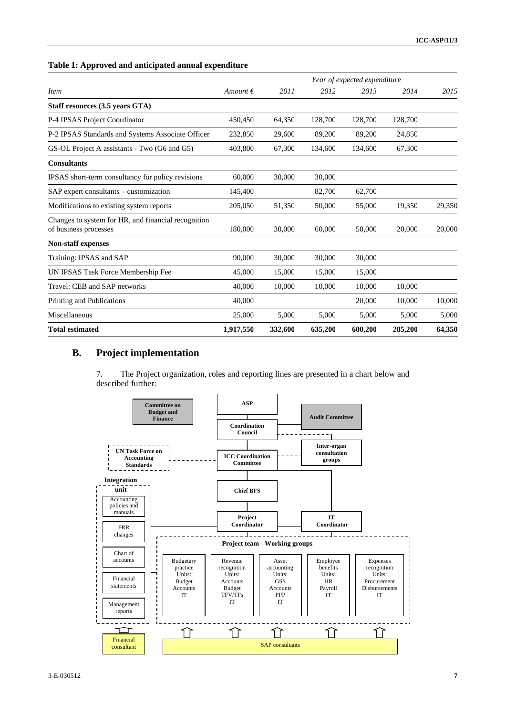|                                                                              |                   |         |         | Year of expected expenditure |         |        |
|------------------------------------------------------------------------------|-------------------|---------|---------|------------------------------|---------|--------|
| <i>Item</i>                                                                  | Amount $\epsilon$ | 2011    | 2012    | 2013                         | 2014    | 2015   |
| Staff resources (3.5 years GTA)                                              |                   |         |         |                              |         |        |
| P-4 IPSAS Project Coordinator                                                | 450,450           | 64,350  | 128,700 | 128,700                      | 128,700 |        |
| P-2 IPSAS Standards and Systems Associate Officer                            | 232,850           | 29,600  | 89,200  | 89,200                       | 24,850  |        |
| GS-OL Project A assistants - Two (G6 and G5)                                 | 403,800           | 67,300  | 134,600 | 134,600                      | 67,300  |        |
| <b>Consultants</b>                                                           |                   |         |         |                              |         |        |
| IPSAS short-term consultancy for policy revisions                            | 60,000            | 30,000  | 30,000  |                              |         |        |
| SAP expert consultants - customization                                       | 145,400           |         | 82,700  | 62,700                       |         |        |
| Modifications to existing system reports                                     | 205,050           | 51,350  | 50,000  | 55,000                       | 19,350  | 29,350 |
| Changes to system for HR, and financial recognition<br>of business processes | 180,000           | 30,000  | 60,000  | 50,000                       | 20,000  | 20,000 |
| Non-staff expenses                                                           |                   |         |         |                              |         |        |
| Training: IPSAS and SAP                                                      | 90.000            | 30,000  | 30,000  | 30,000                       |         |        |
| UN IPSAS Task Force Membership Fee                                           | 45,000            | 15,000  | 15,000  | 15,000                       |         |        |
| Travel: CEB and SAP networks                                                 | 40,000            | 10,000  | 10,000  | 10,000                       | 10,000  |        |
| Printing and Publications                                                    | 40,000            |         |         | 20,000                       | 10,000  | 10,000 |
| Miscellaneous                                                                | 25,000            | 5,000   | 5,000   | 5,000                        | 5,000   | 5,000  |
| <b>Total estimated</b>                                                       | 1,917,550         | 332,600 | 635,200 | 600,200                      | 285,200 | 64,350 |

#### **Table 1: Approved and anticipated annual expenditure**

## **B. Project implementation**

7. The Project organization, roles and reporting lines are presented in a chart below and described further:

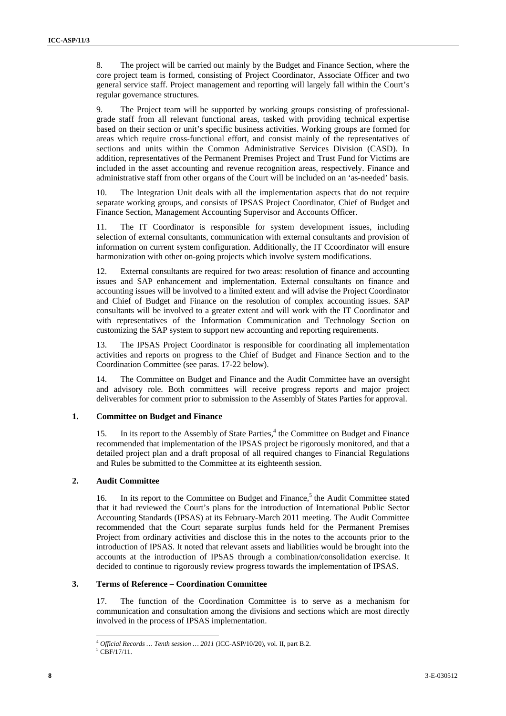8. The project will be carried out mainly by the Budget and Finance Section, where the core project team is formed, consisting of Project Coordinator, Associate Officer and two general service staff. Project management and reporting will largely fall within the Court's regular governance structures.

The Project team will be supported by working groups consisting of professionalgrade staff from all relevant functional areas, tasked with providing technical expertise based on their section or unit's specific business activities. Working groups are formed for areas which require cross-functional effort, and consist mainly of the representatives of sections and units within the Common Administrative Services Division (CASD). In addition, representatives of the Permanent Premises Project and Trust Fund for Victims are included in the asset accounting and revenue recognition areas, respectively. Finance and administrative staff from other organs of the Court will be included on an 'as-needed' basis.

10. The Integration Unit deals with all the implementation aspects that do not require separate working groups, and consists of IPSAS Project Coordinator, Chief of Budget and Finance Section, Management Accounting Supervisor and Accounts Officer.

11. The IT Coordinator is responsible for system development issues, including selection of external consultants, communication with external consultants and provision of information on current system configuration. Additionally, the IT Ccoordinator will ensure harmonization with other on-going projects which involve system modifications.

12. External consultants are required for two areas: resolution of finance and accounting issues and SAP enhancement and implementation. External consultants on finance and accounting issues will be involved to a limited extent and will advise the Project Coordinator and Chief of Budget and Finance on the resolution of complex accounting issues. SAP consultants will be involved to a greater extent and will work with the IT Coordinator and with representatives of the Information Communication and Technology Section on customizing the SAP system to support new accounting and reporting requirements.

13. The IPSAS Project Coordinator is responsible for coordinating all implementation activities and reports on progress to the Chief of Budget and Finance Section and to the Coordination Committee (see paras. 17-22 below).

14. The Committee on Budget and Finance and the Audit Committee have an oversight and advisory role. Both committees will receive progress reports and major project deliverables for comment prior to submission to the Assembly of States Parties for approval.

#### **1. Committee on Budget and Finance**

15. In its report to the Assembly of State Parties,<sup>4</sup> the Committee on Budget and Finance recommended that implementation of the IPSAS project be rigorously monitored, and that a detailed project plan and a draft proposal of all required changes to Financial Regulations and Rules be submitted to the Committee at its eighteenth session.

### **2. Audit Committee**

16. In its report to the Committee on Budget and Finance,<sup>5</sup> the Audit Committee stated that it had reviewed the Court's plans for the introduction of International Public Sector Accounting Standards (IPSAS) at its February-March 2011 meeting. The Audit Committee recommended that the Court separate surplus funds held for the Permanent Premises Project from ordinary activities and disclose this in the notes to the accounts prior to the introduction of IPSAS. It noted that relevant assets and liabilities would be brought into the accounts at the introduction of IPSAS through a combination/consolidation exercise. It decided to continue to rigorously review progress towards the implementation of IPSAS.

### **3. Terms of Reference – Coordination Committee**

17. The function of the Coordination Committee is to serve as a mechanism for communication and consultation among the divisions and sections which are most directly involved in the process of IPSAS implementation.

 $\overline{a}$ <sup>4</sup> *Official Records … Tenth session … 2011* (ICC-ASP/10/20), vol. II, part B.2. 5

 $5 \tilde{CBF}/17/11$ .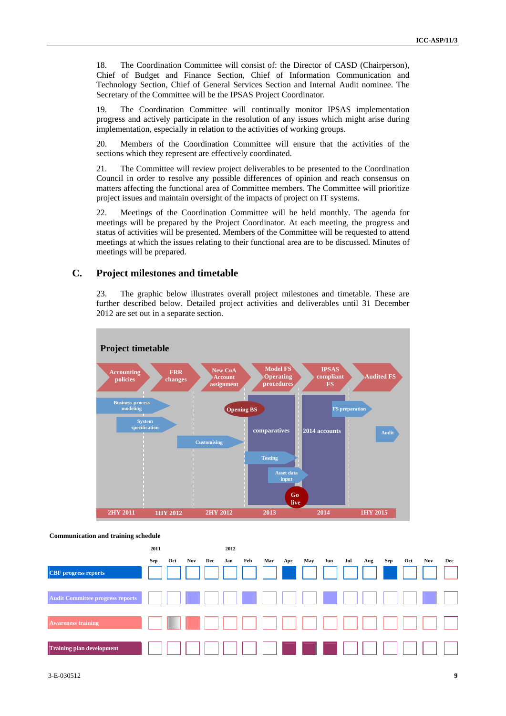18. The Coordination Committee will consist of: the Director of CASD (Chairperson), Chief of Budget and Finance Section, Chief of Information Communication and Technology Section, Chief of General Services Section and Internal Audit nominee. The Secretary of the Committee will be the IPSAS Project Coordinator.

19. The Coordination Committee will continually monitor IPSAS implementation progress and actively participate in the resolution of any issues which might arise during implementation, especially in relation to the activities of working groups.

20. Members of the Coordination Committee will ensure that the activities of the sections which they represent are effectively coordinated.

21. The Committee will review project deliverables to be presented to the Coordination Council in order to resolve any possible differences of opinion and reach consensus on matters affecting the functional area of Committee members. The Committee will prioritize project issues and maintain oversight of the impacts of project on IT systems.

22. Meetings of the Coordination Committee will be held monthly. The agenda for meetings will be prepared by the Project Coordinator. At each meeting, the progress and status of activities will be presented. Members of the Committee will be requested to attend meetings at which the issues relating to their functional area are to be discussed. Minutes of meetings will be prepared.

### **C. Project milestones and timetable**

23. The graphic below illustrates overall project milestones and timetable. These are further described below. Detailed project activities and deliverables until 31 December 2012 are set out in a separate section.



**Communication and training schedule** 

|                                         | 2011 |     |     |     | 2012 |     |     |     |     |     |     |     |     |     |     |     |
|-----------------------------------------|------|-----|-----|-----|------|-----|-----|-----|-----|-----|-----|-----|-----|-----|-----|-----|
| <b>CBF</b> progress reports             | Sep  | Oct | Nov | Dec | Jan  | Feb | Mar | Apr | May | Jun | Jul | Aug | Sep | Oct | Nov | Dec |
| <b>Audit Committee progress reports</b> |      |     |     |     |      |     |     |     |     |     |     |     |     |     |     |     |
| <b>Awareness training</b>               |      |     |     |     |      |     |     |     |     |     |     |     |     |     |     |     |
| <b>Training plan development</b>        |      |     |     |     |      |     |     |     |     |     |     |     |     |     |     |     |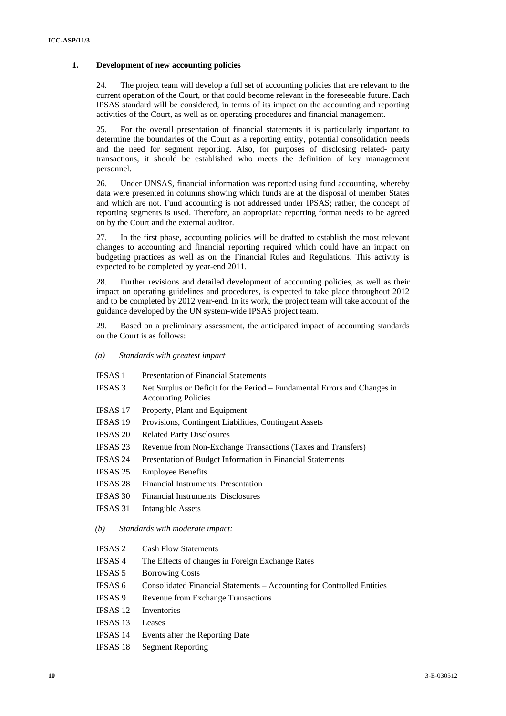#### **1. Development of new accounting policies**

24. The project team will develop a full set of accounting policies that are relevant to the current operation of the Court, or that could become relevant in the foreseeable future. Each IPSAS standard will be considered, in terms of its impact on the accounting and reporting activities of the Court, as well as on operating procedures and financial management.

25. For the overall presentation of financial statements it is particularly important to determine the boundaries of the Court as a reporting entity, potential consolidation needs and the need for segment reporting. Also, for purposes of disclosing related- party transactions, it should be established who meets the definition of key management personnel.

26. Under UNSAS, financial information was reported using fund accounting, whereby data were presented in columns showing which funds are at the disposal of member States and which are not. Fund accounting is not addressed under IPSAS; rather, the concept of reporting segments is used. Therefore, an appropriate reporting format needs to be agreed on by the Court and the external auditor.

27. In the first phase, accounting policies will be drafted to establish the most relevant changes to accounting and financial reporting required which could have an impact on budgeting practices as well as on the Financial Rules and Regulations. This activity is expected to be completed by year-end 2011.

28. Further revisions and detailed development of accounting policies, as well as their impact on operating guidelines and procedures, is expected to take place throughout 2012 and to be completed by 2012 year-end. In its work, the project team will take account of the guidance developed by the UN system-wide IPSAS project team.

29. Based on a preliminary assessment, the anticipated impact of accounting standards on the Court is as follows:

- *(a) Standards with greatest impact*
- IPSAS 1 Presentation of Financial Statements
- IPSAS 3 Net Surplus or Deficit for the Period Fundamental Errors and Changes in Accounting Policies
- IPSAS 17 Property, Plant and Equipment
- IPSAS 19 Provisions, Contingent Liabilities, Contingent Assets
- IPSAS 20 Related Party Disclosures
- IPSAS 23 Revenue from Non-Exchange Transactions (Taxes and Transfers)
- IPSAS 24 Presentation of Budget Information in Financial Statements
- IPSAS 25 Employee Benefits
- IPSAS 28 Financial Instruments: Presentation
- IPSAS 30 Financial Instruments: Disclosures
- IPSAS 31 Intangible Assets
- *(b) Standards with moderate impact:*
- IPSAS 2 Cash Flow Statements
- IPSAS 4 The Effects of changes in Foreign Exchange Rates
- IPSAS 5 Borrowing Costs
- IPSAS 6 Consolidated Financial Statements Accounting for Controlled Entities
- IPSAS 9 Revenue from Exchange Transactions
- IPSAS 12 Inventories
- IPSAS 13 Leases
- IPSAS 14 Events after the Reporting Date
- IPSAS 18 Segment Reporting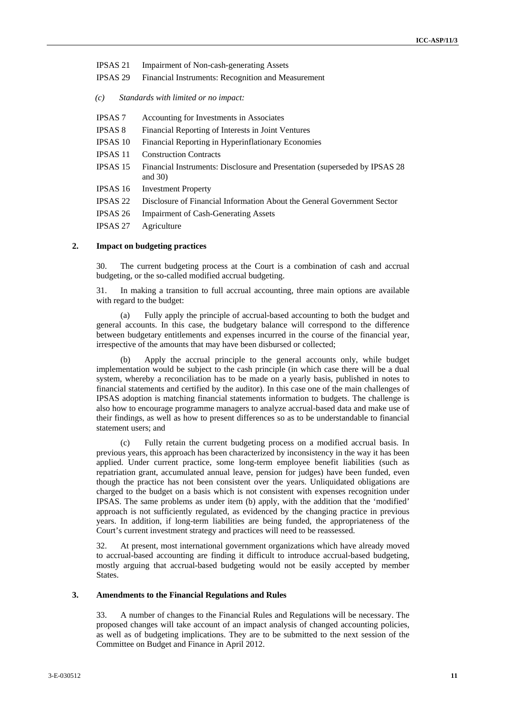- IPSAS 21 Impairment of Non-cash-generating Assets
- IPSAS 29 Financial Instruments: Recognition and Measurement
- *(c) Standards with limited or no impact:*
- IPSAS 7 Accounting for Investments in Associates
- IPSAS 8 Financial Reporting of Interests in Joint Ventures
- IPSAS 10 Financial Reporting in Hyperinflationary Economies
- IPSAS 11 Construction Contracts
- IPSAS 15 Financial Instruments: Disclosure and Presentation (superseded by IPSAS 28 and 30)
- IPSAS 16 Investment Property
- IPSAS 22 Disclosure of Financial Information About the General Government Sector
- IPSAS 26 Impairment of Cash-Generating Assets
- IPSAS 27 Agriculture

### **2. Impact on budgeting practices**

30. The current budgeting process at the Court is a combination of cash and accrual budgeting, or the so-called modified accrual budgeting.

31. In making a transition to full accrual accounting, three main options are available with regard to the budget:

(a) Fully apply the principle of accrual-based accounting to both the budget and general accounts. In this case, the budgetary balance will correspond to the difference between budgetary entitlements and expenses incurred in the course of the financial year, irrespective of the amounts that may have been disbursed or collected;

Apply the accrual principle to the general accounts only, while budget implementation would be subject to the cash principle (in which case there will be a dual system, whereby a reconciliation has to be made on a yearly basis, published in notes to financial statements and certified by the auditor). In this case one of the main challenges of IPSAS adoption is matching financial statements information to budgets. The challenge is also how to encourage programme managers to analyze accrual-based data and make use of their findings, as well as how to present differences so as to be understandable to financial statement users; and

(c) Fully retain the current budgeting process on a modified accrual basis. In previous years, this approach has been characterized by inconsistency in the way it has been applied. Under current practice, some long-term employee benefit liabilities (such as repatriation grant, accumulated annual leave, pension for judges) have been funded, even though the practice has not been consistent over the years. Unliquidated obligations are charged to the budget on a basis which is not consistent with expenses recognition under IPSAS. The same problems as under item (b) apply, with the addition that the 'modified' approach is not sufficiently regulated, as evidenced by the changing practice in previous years. In addition, if long-term liabilities are being funded, the appropriateness of the Court's current investment strategy and practices will need to be reassessed.

32. At present, most international government organizations which have already moved to accrual-based accounting are finding it difficult to introduce accrual-based budgeting, mostly arguing that accrual-based budgeting would not be easily accepted by member States.

#### **3. Amendments to the Financial Regulations and Rules**

33. A number of changes to the Financial Rules and Regulations will be necessary. The proposed changes will take account of an impact analysis of changed accounting policies, as well as of budgeting implications. They are to be submitted to the next session of the Committee on Budget and Finance in April 2012.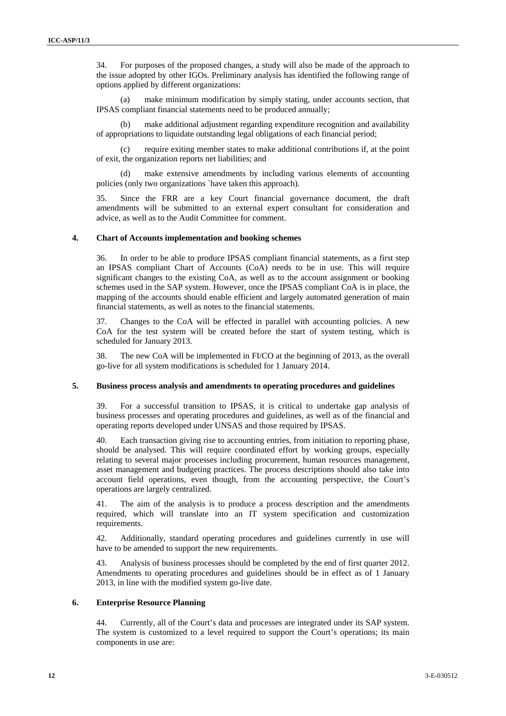34. For purposes of the proposed changes, a study will also be made of the approach to the issue adopted by other IGOs. Preliminary analysis has identified the following range of options applied by different organizations:

make minimum modification by simply stating, under accounts section, that IPSAS compliant financial statements need to be produced annually;

(b) make additional adjustment regarding expenditure recognition and availability of appropriations to liquidate outstanding legal obligations of each financial period;

(c) require exiting member states to make additional contributions if, at the point of exit, the organization reports net liabilities; and

make extensive amendments by including various elements of accounting policies (only two organizations `have taken this approach).

35. Since the FRR are a key Court financial governance document, the draft amendments will be submitted to an external expert consultant for consideration and advice, as well as to the Audit Committee for comment.

#### **4. Chart of Accounts implementation and booking schemes**

36. In order to be able to produce IPSAS compliant financial statements, as a first step an IPSAS compliant Chart of Accounts (CoA) needs to be in use. This will require significant changes to the existing CoA, as well as to the account assignment or booking schemes used in the SAP system. However, once the IPSAS compliant CoA is in place, the mapping of the accounts should enable efficient and largely automated generation of main financial statements, as well as notes to the financial statements.

37. Changes to the CoA will be effected in parallel with accounting policies. A new CoA for the test system will be created before the start of system testing, which is scheduled for January 2013.

38. The new CoA will be implemented in FI/CO at the beginning of 2013, as the overall go-live for all system modifications is scheduled for 1 January 2014.

#### **5. Business process analysis and amendments to operating procedures and guidelines**

39. For a successful transition to IPSAS, it is critical to undertake gap analysis of business processes and operating procedures and guidelines, as well as of the financial and operating reports developed under UNSAS and those required by IPSAS.

40. Each transaction giving rise to accounting entries, from initiation to reporting phase, should be analysed. This will require coordinated effort by working groups, especially relating to several major processes including procurement, human resources management, asset management and budgeting practices. The process descriptions should also take into account field operations, even though, from the accounting perspective, the Court's operations are largely centralized.

41. The aim of the analysis is to produce a process description and the amendments required, which will translate into an IT system specification and customization requirements.

42. Additionally, standard operating procedures and guidelines currently in use will have to be amended to support the new requirements.

43. Analysis of business processes should be completed by the end of first quarter 2012. Amendments to operating procedures and guidelines should be in effect as of 1 January 2013, in line with the modified system go-live date.

#### **6. Enterprise Resource Planning**

44. Currently, all of the Court's data and processes are integrated under its SAP system. The system is customized to a level required to support the Court's operations; its main components in use are: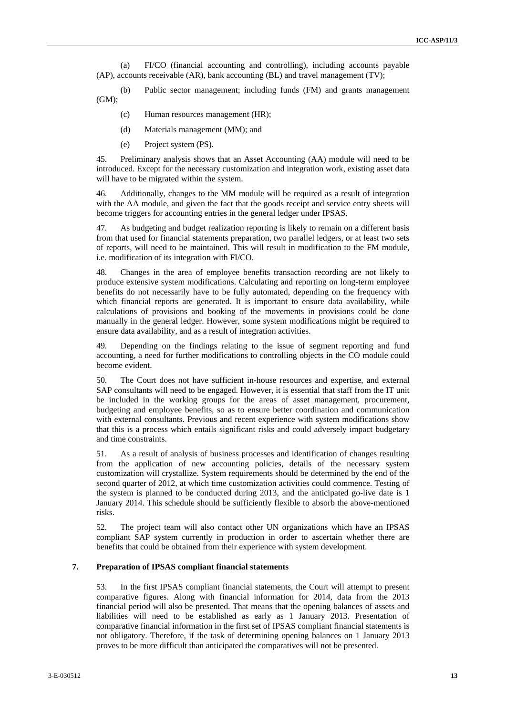(a) FI/CO (financial accounting and controlling), including accounts payable (AP), accounts receivable (AR), bank accounting (BL) and travel management (TV);

(b) Public sector management; including funds (FM) and grants management (GM);

- (c) Human resources management (HR);
- (d) Materials management (MM); and
- (e) Project system (PS).

45. Preliminary analysis shows that an Asset Accounting (AA) module will need to be introduced. Except for the necessary customization and integration work, existing asset data will have to be migrated within the system.

46. Additionally, changes to the MM module will be required as a result of integration with the AA module, and given the fact that the goods receipt and service entry sheets will become triggers for accounting entries in the general ledger under IPSAS.

47. As budgeting and budget realization reporting is likely to remain on a different basis from that used for financial statements preparation, two parallel ledgers, or at least two sets of reports, will need to be maintained. This will result in modification to the FM module, i.e. modification of its integration with FI/CO.

48. Changes in the area of employee benefits transaction recording are not likely to produce extensive system modifications. Calculating and reporting on long-term employee benefits do not necessarily have to be fully automated, depending on the frequency with which financial reports are generated. It is important to ensure data availability, while calculations of provisions and booking of the movements in provisions could be done manually in the general ledger. However, some system modifications might be required to ensure data availability, and as a result of integration activities.

49. Depending on the findings relating to the issue of segment reporting and fund accounting, a need for further modifications to controlling objects in the CO module could become evident.

50. The Court does not have sufficient in-house resources and expertise, and external SAP consultants will need to be engaged. However, it is essential that staff from the IT unit be included in the working groups for the areas of asset management, procurement, budgeting and employee benefits, so as to ensure better coordination and communication with external consultants. Previous and recent experience with system modifications show that this is a process which entails significant risks and could adversely impact budgetary and time constraints.

51. As a result of analysis of business processes and identification of changes resulting from the application of new accounting policies, details of the necessary system customization will crystallize. System requirements should be determined by the end of the second quarter of 2012, at which time customization activities could commence. Testing of the system is planned to be conducted during 2013, and the anticipated go-live date is 1 January 2014. This schedule should be sufficiently flexible to absorb the above-mentioned risks.

52. The project team will also contact other UN organizations which have an IPSAS compliant SAP system currently in production in order to ascertain whether there are benefits that could be obtained from their experience with system development.

#### **7. Preparation of IPSAS compliant financial statements**

53. In the first IPSAS compliant financial statements, the Court will attempt to present comparative figures. Along with financial information for 2014, data from the 2013 financial period will also be presented. That means that the opening balances of assets and liabilities will need to be established as early as 1 January 2013. Presentation of comparative financial information in the first set of IPSAS compliant financial statements is not obligatory. Therefore, if the task of determining opening balances on 1 January 2013 proves to be more difficult than anticipated the comparatives will not be presented.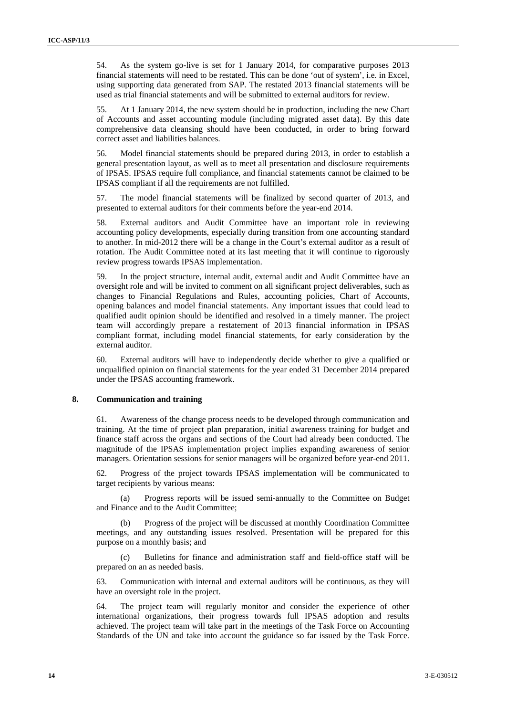54. As the system go-live is set for 1 January 2014, for comparative purposes 2013 financial statements will need to be restated. This can be done 'out of system', i.e. in Excel, using supporting data generated from SAP. The restated 2013 financial statements will be used as trial financial statements and will be submitted to external auditors for review.

55. At 1 January 2014, the new system should be in production, including the new Chart of Accounts and asset accounting module (including migrated asset data). By this date comprehensive data cleansing should have been conducted, in order to bring forward correct asset and liabilities balances.

56. Model financial statements should be prepared during 2013, in order to establish a general presentation layout, as well as to meet all presentation and disclosure requirements of IPSAS. IPSAS require full compliance, and financial statements cannot be claimed to be IPSAS compliant if all the requirements are not fulfilled.

57. The model financial statements will be finalized by second quarter of 2013, and presented to external auditors for their comments before the year-end 2014.

58. External auditors and Audit Committee have an important role in reviewing accounting policy developments, especially during transition from one accounting standard to another. In mid-2012 there will be a change in the Court's external auditor as a result of rotation. The Audit Committee noted at its last meeting that it will continue to rigorously review progress towards IPSAS implementation.

59. In the project structure, internal audit, external audit and Audit Committee have an oversight role and will be invited to comment on all significant project deliverables, such as changes to Financial Regulations and Rules, accounting policies, Chart of Accounts, opening balances and model financial statements. Any important issues that could lead to qualified audit opinion should be identified and resolved in a timely manner. The project team will accordingly prepare a restatement of 2013 financial information in IPSAS compliant format, including model financial statements, for early consideration by the external auditor.

60. External auditors will have to independently decide whether to give a qualified or unqualified opinion on financial statements for the year ended 31 December 2014 prepared under the IPSAS accounting framework.

#### **8. Communication and training**

61. Awareness of the change process needs to be developed through communication and training. At the time of project plan preparation, initial awareness training for budget and finance staff across the organs and sections of the Court had already been conducted. The magnitude of the IPSAS implementation project implies expanding awareness of senior managers. Orientation sessions for senior managers will be organized before year-end 2011.

62. Progress of the project towards IPSAS implementation will be communicated to target recipients by various means:

(a) Progress reports will be issued semi-annually to the Committee on Budget and Finance and to the Audit Committee;

Progress of the project will be discussed at monthly Coordination Committee meetings, and any outstanding issues resolved. Presentation will be prepared for this purpose on a monthly basis; and

(c) Bulletins for finance and administration staff and field-office staff will be prepared on an as needed basis.

63. Communication with internal and external auditors will be continuous, as they will have an oversight role in the project.

64. The project team will regularly monitor and consider the experience of other international organizations, their progress towards full IPSAS adoption and results achieved. The project team will take part in the meetings of the Task Force on Accounting Standards of the UN and take into account the guidance so far issued by the Task Force.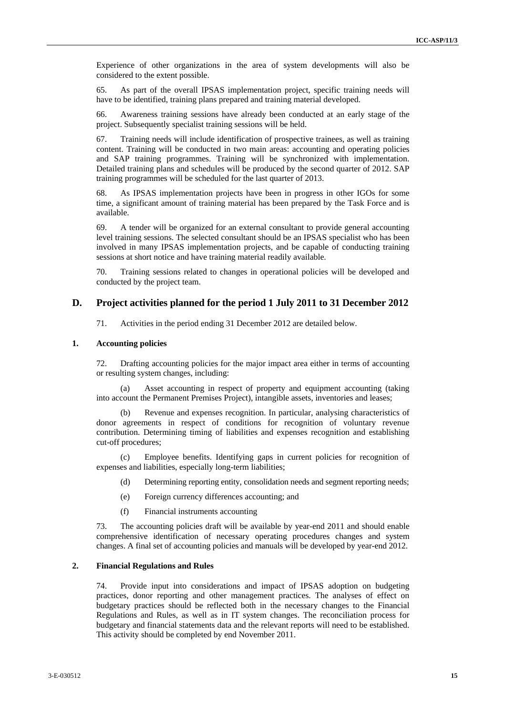Experience of other organizations in the area of system developments will also be considered to the extent possible.

65. As part of the overall IPSAS implementation project, specific training needs will have to be identified, training plans prepared and training material developed.

66. Awareness training sessions have already been conducted at an early stage of the project. Subsequently specialist training sessions will be held.

67. Training needs will include identification of prospective trainees, as well as training content. Training will be conducted in two main areas: accounting and operating policies and SAP training programmes. Training will be synchronized with implementation. Detailed training plans and schedules will be produced by the second quarter of 2012. SAP training programmes will be scheduled for the last quarter of 2013.

68. As IPSAS implementation projects have been in progress in other IGOs for some time, a significant amount of training material has been prepared by the Task Force and is available.

69. A tender will be organized for an external consultant to provide general accounting level training sessions. The selected consultant should be an IPSAS specialist who has been involved in many IPSAS implementation projects, and be capable of conducting training sessions at short notice and have training material readily available.

70. Training sessions related to changes in operational policies will be developed and conducted by the project team.

### **D. Project activities planned for the period 1 July 2011 to 31 December 2012**

71. Activities in the period ending 31 December 2012 are detailed below.

#### **1. Accounting policies**

72. Drafting accounting policies for the major impact area either in terms of accounting or resulting system changes, including:

(a) Asset accounting in respect of property and equipment accounting (taking into account the Permanent Premises Project), intangible assets, inventories and leases;

Revenue and expenses recognition. In particular, analysing characteristics of donor agreements in respect of conditions for recognition of voluntary revenue contribution. Determining timing of liabilities and expenses recognition and establishing cut-off procedures;

(c) Employee benefits. Identifying gaps in current policies for recognition of expenses and liabilities, especially long-term liabilities;

- (d) Determining reporting entity, consolidation needs and segment reporting needs;
- (e) Foreign currency differences accounting; and
- (f) Financial instruments accounting

73. The accounting policies draft will be available by year-end 2011 and should enable comprehensive identification of necessary operating procedures changes and system changes. A final set of accounting policies and manuals will be developed by year-end 2012.

#### **2. Financial Regulations and Rules**

74. Provide input into considerations and impact of IPSAS adoption on budgeting practices, donor reporting and other management practices. The analyses of effect on budgetary practices should be reflected both in the necessary changes to the Financial Regulations and Rules, as well as in IT system changes. The reconciliation process for budgetary and financial statements data and the relevant reports will need to be established. This activity should be completed by end November 2011.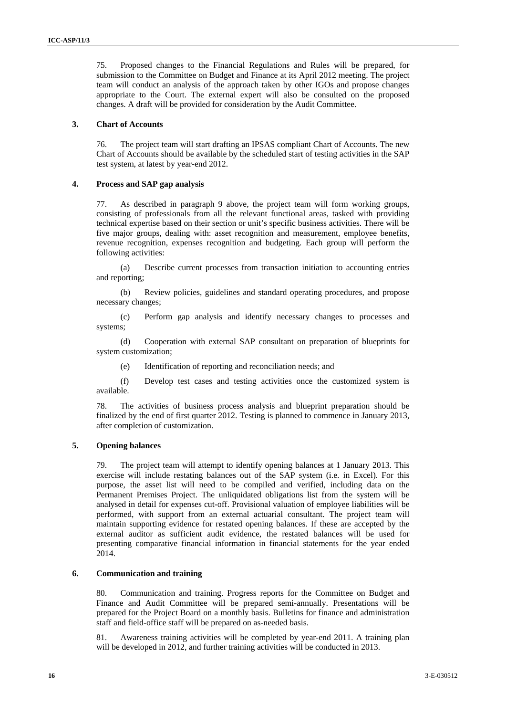75. Proposed changes to the Financial Regulations and Rules will be prepared, for submission to the Committee on Budget and Finance at its April 2012 meeting. The project team will conduct an analysis of the approach taken by other IGOs and propose changes appropriate to the Court. The external expert will also be consulted on the proposed changes. A draft will be provided for consideration by the Audit Committee.

#### **3. Chart of Accounts**

76. The project team will start drafting an IPSAS compliant Chart of Accounts. The new Chart of Accounts should be available by the scheduled start of testing activities in the SAP test system, at latest by year-end 2012.

#### **4. Process and SAP gap analysis**

77. As described in paragraph 9 above, the project team will form working groups, consisting of professionals from all the relevant functional areas, tasked with providing technical expertise based on their section or unit's specific business activities. There will be five major groups, dealing with: asset recognition and measurement, employee benefits, revenue recognition, expenses recognition and budgeting. Each group will perform the following activities:

(a) Describe current processes from transaction initiation to accounting entries and reporting;

(b) Review policies, guidelines and standard operating procedures, and propose necessary changes;

(c) Perform gap analysis and identify necessary changes to processes and systems;

(d) Cooperation with external SAP consultant on preparation of blueprints for system customization;

(e) Identification of reporting and reconciliation needs; and

(f) Develop test cases and testing activities once the customized system is available.

78. The activities of business process analysis and blueprint preparation should be finalized by the end of first quarter 2012. Testing is planned to commence in January 2013, after completion of customization.

### **5. Opening balances**

79. The project team will attempt to identify opening balances at 1 January 2013. This exercise will include restating balances out of the SAP system (i.e. in Excel). For this purpose, the asset list will need to be compiled and verified, including data on the Permanent Premises Project. The unliquidated obligations list from the system will be analysed in detail for expenses cut-off. Provisional valuation of employee liabilities will be performed, with support from an external actuarial consultant. The project team will maintain supporting evidence for restated opening balances. If these are accepted by the external auditor as sufficient audit evidence, the restated balances will be used for presenting comparative financial information in financial statements for the year ended 2014.

#### **6. Communication and training**

80. Communication and training. Progress reports for the Committee on Budget and Finance and Audit Committee will be prepared semi-annually. Presentations will be prepared for the Project Board on a monthly basis. Bulletins for finance and administration staff and field-office staff will be prepared on as-needed basis.

81. Awareness training activities will be completed by year-end 2011. A training plan will be developed in 2012, and further training activities will be conducted in 2013.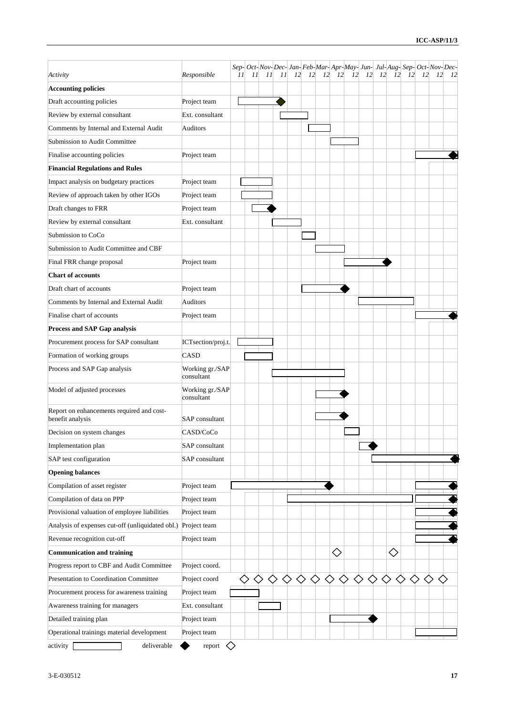|                                                               |                               |    |    |    |    |           |    |        |               | Sep- Oct- Nov- Dec- Jan- Feb-Mar- Apr- May- Jun- Jul- Aug- Sep- Oct- Nov- Dec- |    |           |            |           |           |           |    |
|---------------------------------------------------------------|-------------------------------|----|----|----|----|-----------|----|--------|---------------|--------------------------------------------------------------------------------|----|-----------|------------|-----------|-----------|-----------|----|
| Activity                                                      | Responsible                   | 11 | 11 | 11 | 11 | <i>12</i> | 12 |        | $12 \quad 12$ | 12                                                                             | 12 | <i>12</i> | <i>12</i>  | <i>12</i> | <i>12</i> | <i>12</i> | 12 |
| <b>Accounting policies</b>                                    |                               |    |    |    |    |           |    |        |               |                                                                                |    |           |            |           |           |           |    |
| Draft accounting policies                                     | Project team                  |    |    |    |    |           |    |        |               |                                                                                |    |           |            |           |           |           |    |
| Review by external consultant                                 | Ext. consultant               |    |    |    |    |           |    |        |               |                                                                                |    |           |            |           |           |           |    |
| Comments by Internal and External Audit                       | Auditors                      |    |    |    |    |           |    |        |               |                                                                                |    |           |            |           |           |           |    |
| Submission to Audit Committee                                 |                               |    |    |    |    |           |    |        |               |                                                                                |    |           |            |           |           |           |    |
| Finalise accounting policies                                  | Project team                  |    |    |    |    |           |    |        |               |                                                                                |    |           |            |           |           |           |    |
| <b>Financial Regulations and Rules</b>                        |                               |    |    |    |    |           |    |        |               |                                                                                |    |           |            |           |           |           |    |
| Impact analysis on budgetary practices                        | Project team                  |    |    |    |    |           |    |        |               |                                                                                |    |           |            |           |           |           |    |
| Review of approach taken by other IGOs                        | Project team                  |    |    |    |    |           |    |        |               |                                                                                |    |           |            |           |           |           |    |
| Draft changes to FRR                                          | Project team                  |    |    |    |    |           |    |        |               |                                                                                |    |           |            |           |           |           |    |
| Review by external consultant                                 | Ext. consultant               |    |    |    |    |           |    |        |               |                                                                                |    |           |            |           |           |           |    |
| Submission to CoCo                                            |                               |    |    |    |    |           |    |        |               |                                                                                |    |           |            |           |           |           |    |
| Submission to Audit Committee and CBF                         |                               |    |    |    |    |           |    |        |               |                                                                                |    |           |            |           |           |           |    |
| Final FRR change proposal                                     | Project team                  |    |    |    |    |           |    |        |               |                                                                                |    |           |            |           |           |           |    |
| <b>Chart of accounts</b>                                      |                               |    |    |    |    |           |    |        |               |                                                                                |    |           |            |           |           |           |    |
| Draft chart of accounts                                       | Project team                  |    |    |    |    |           |    |        |               |                                                                                |    |           |            |           |           |           |    |
| Comments by Internal and External Audit                       | <b>Auditors</b>               |    |    |    |    |           |    |        |               |                                                                                |    |           |            |           |           |           |    |
| Finalise chart of accounts                                    | Project team                  |    |    |    |    |           |    |        |               |                                                                                |    |           |            |           |           |           |    |
| <b>Process and SAP Gap analysis</b>                           |                               |    |    |    |    |           |    |        |               |                                                                                |    |           |            |           |           |           |    |
| Procurement process for SAP consultant                        | ICTsection/proj.t.            |    |    |    |    |           |    |        |               |                                                                                |    |           |            |           |           |           |    |
| Formation of working groups                                   | CASD                          |    |    |    |    |           |    |        |               |                                                                                |    |           |            |           |           |           |    |
| Process and SAP Gap analysis                                  | Working gr./SAP<br>consultant |    |    |    |    |           |    |        |               |                                                                                |    |           |            |           |           |           |    |
| Model of adjusted processes                                   | Working gr./SAP<br>consultant |    |    |    |    |           |    |        |               |                                                                                |    |           |            |           |           |           |    |
| Report on enhancements required and cost-<br>benefit analysis | SAP consultant                |    |    |    |    |           |    |        |               |                                                                                |    |           |            |           |           |           |    |
| Decision on system changes                                    | CASD/CoCo                     |    |    |    |    |           |    |        |               |                                                                                |    |           |            |           |           |           |    |
| Implementation plan                                           | SAP consultant                |    |    |    |    |           |    |        |               |                                                                                |    |           |            |           |           |           |    |
| SAP test configuration                                        | SAP consultant                |    |    |    |    |           |    |        |               |                                                                                |    |           |            |           |           |           |    |
| <b>Opening balances</b>                                       |                               |    |    |    |    |           |    |        |               |                                                                                |    |           |            |           |           |           |    |
| Compilation of asset register                                 | Project team                  |    |    |    |    |           |    |        |               |                                                                                |    |           |            |           |           |           |    |
| Compilation of data on PPP                                    | Project team                  |    |    |    |    |           |    |        |               |                                                                                |    |           |            |           |           |           |    |
| Provisional valuation of employee liabilities                 | Project team                  |    |    |    |    |           |    |        |               |                                                                                |    |           |            |           |           |           |    |
| Analysis of expenses cut-off (unliquidated obl.)              | Project team                  |    |    |    |    |           |    |        |               |                                                                                |    |           |            |           |           |           |    |
| Revenue recognition cut-off                                   | Project team                  |    |    |    |    |           |    |        |               |                                                                                |    |           |            |           |           |           |    |
| <b>Communication and training</b>                             |                               |    |    |    |    |           |    |        | $\diamond$    |                                                                                |    |           | $\Diamond$ |           |           |           |    |
| Progress report to CBF and Audit Committee                    | Project coord.                |    |    |    |    |           |    |        |               |                                                                                |    |           |            |           |           |           |    |
| Presentation to Coordination Committee                        | Project coord                 |    |    | ♦  | ♦  |           |    | ◇<br>◇ | ◇             | ◇                                                                              | ♦  | ◇         | ◇          |           |           |           |    |
| Procurement process for awareness training                    | Project team                  |    |    |    |    |           |    |        |               |                                                                                |    |           |            |           |           |           |    |
| Awareness training for managers                               | Ext. consultant               |    |    |    |    |           |    |        |               |                                                                                |    |           |            |           |           |           |    |
| Detailed training plan                                        | Project team                  |    |    |    |    |           |    |        |               |                                                                                |    |           |            |           |           |           |    |
| Operational trainings material development                    | Project team                  |    |    |    |    |           |    |        |               |                                                                                |    |           |            |           |           |           |    |
| activity<br>deliverable                                       | report                        | ◇  |    |    |    |           |    |        |               |                                                                                |    |           |            |           |           |           |    |